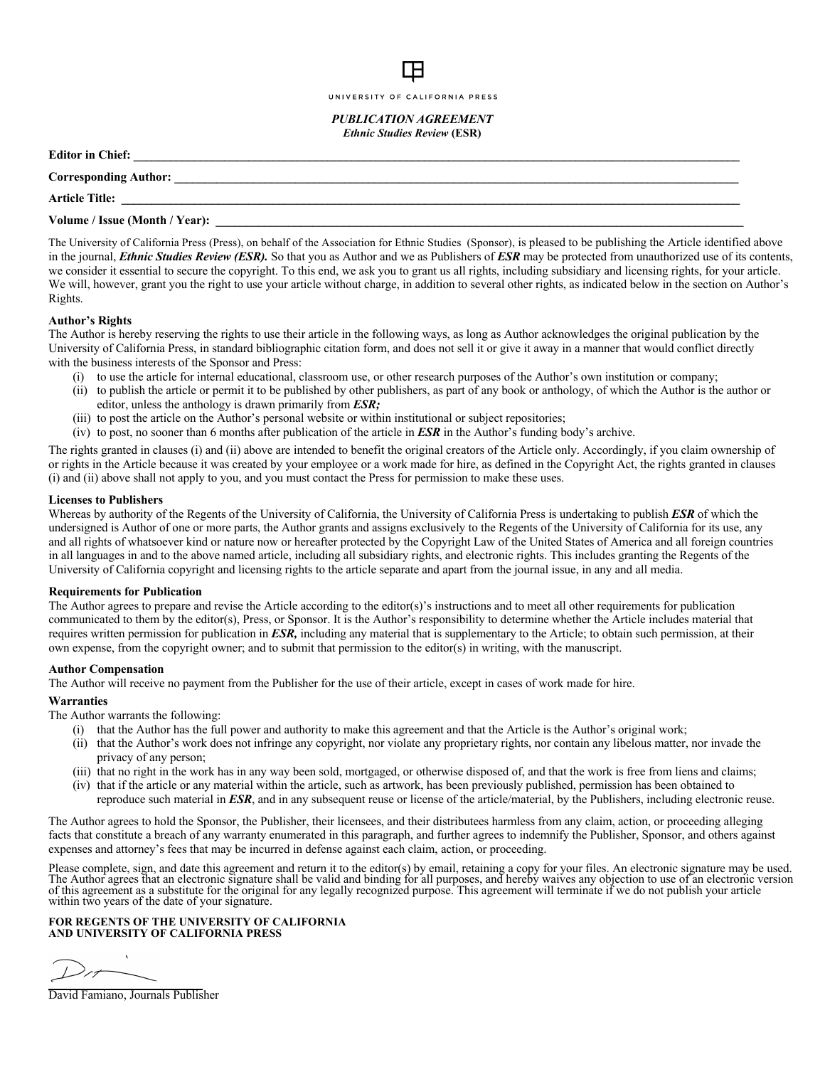#### UNIVERSITY OF CALIFORNIA PRESS

*PUBLICATION AGREEMENT Ethnic Studies Review* **(ESR)**

| <b>Editor in Chief:</b>               |
|---------------------------------------|
| Corresponding Author:                 |
| <b>Article Title:</b>                 |
| <b>Volume / Issue (Month / Year):</b> |
|                                       |

The University of California Press (Press), on behalf of the Association for Ethnic Studies (Sponsor), is pleased to be publishing the Article identified above in the journal, *Ethnic Studies Review (ESR).* So that you as Author and we as Publishers of *ESR* may be protected from unauthorized use of its contents, we consider it essential to secure the copyright. To this end, we ask you to grant us all rights, including subsidiary and licensing rights, for your article. We will, however, grant you the right to use your article without charge, in addition to several other rights, as indicated below in the section on Author's Rights.

## **Author's Rights**

The Author is hereby reserving the rights to use their article in the following ways, as long as Author acknowledges the original publication by the University of California Press, in standard bibliographic citation form, and does not sell it or give it away in a manner that would conflict directly with the business interests of the Sponsor and Press:

- to use the article for internal educational, classroom use, or other research purposes of the Author's own institution or company;
- (ii) to publish the article or permit it to be published by other publishers, as part of any book or anthology, of which the Author is the author or editor, unless the anthology is drawn primarily from *ESR;*
- (iii) to post the article on the Author's personal website or within institutional or subject repositories;
- (iv) to post, no sooner than 6 months after publication of the article in *ESR* in the Author's funding body's archive.

The rights granted in clauses (i) and (ii) above are intended to benefit the original creators of the Article only. Accordingly, if you claim ownership of or rights in the Article because it was created by your employee or a work made for hire, as defined in the Copyright Act, the rights granted in clauses (i) and (ii) above shall not apply to you, and you must contact the Press for permission to make these uses.

## **Licenses to Publishers**

Whereas by authority of the Regents of the University of California, the University of California Press is undertaking to publish *ESR* of which the undersigned is Author of one or more parts, the Author grants and assigns exclusively to the Regents of the University of California for its use, any and all rights of whatsoever kind or nature now or hereafter protected by the Copyright Law of the United States of America and all foreign countries in all languages in and to the above named article, including all subsidiary rights, and electronic rights. This includes granting the Regents of the University of California copyright and licensing rights to the article separate and apart from the journal issue, in any and all media.

## **Requirements for Publication**

The Author agrees to prepare and revise the Article according to the editor(s)'s instructions and to meet all other requirements for publication communicated to them by the editor(s), Press, or Sponsor. It is the Author's responsibility to determine whether the Article includes material that requires written permission for publication in *ESR,* including any material that is supplementary to the Article; to obtain such permission, at their own expense, from the copyright owner; and to submit that permission to the editor(s) in writing, with the manuscript.

## **Author Compensation**

The Author will receive no payment from the Publisher for the use of their article, except in cases of work made for hire.

## **Warranties**

The Author warrants the following:

- (i) that the Author has the full power and authority to make this agreement and that the Article is the Author's original work;
- (ii) that the Author's work does not infringe any copyright, nor violate any proprietary rights, nor contain any libelous matter, nor invade the privacy of any person;
- (iii) that no right in the work has in any way been sold, mortgaged, or otherwise disposed of, and that the work is free from liens and claims;
- (iv) that if the article or any material within the article, such as artwork, has been previously published, permission has been obtained to
	- reproduce such material in *ESR*, and in any subsequent reuse or license of the article/material, by the Publishers, including electronic reuse.

The Author agrees to hold the Sponsor, the Publisher, their licensees, and their distributees harmless from any claim, action, or proceeding alleging facts that constitute a breach of any warranty enumerated in this paragraph, and further agrees to indemnify the Publisher, Sponsor, and others against expenses and attorney's fees that may be incurred in defense against each claim, action, or proceeding.

Please complete, sign, and date this agreement and return it to the editor(s) by email, retaining a copy for your files. An electronic signature may be used.<br>The Author agrees that an electronic signature shall be valid an within two years of the date of your signature.

### **FOR REGENTS OF THE UNIVERSITY OF CALIFORNIA AND UNIVERSITY OF CALIFORNIA PRESS**

David Famiano, Journals Publisher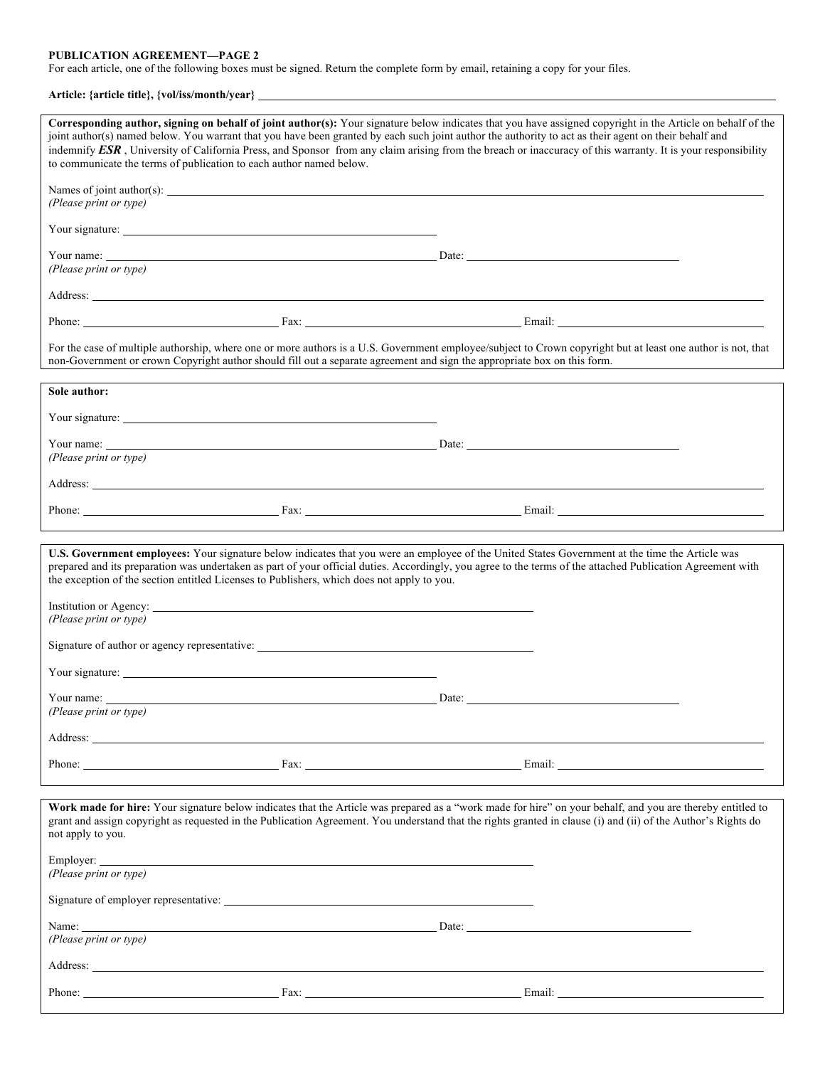#### **PUBLICATION AGREEMENT—PAGE 2**

For each article, one of the following boxes must be signed. Return the complete form by email, retaining a copy for your files.

# **Article: {article title}, {vol/iss/month/year}**

| Corresponding author, signing on behalf of joint author(s): Your signature below indicates that you have assigned copyright in the Article on behalf of the<br>joint author(s) named below. You warrant that you have been granted by each such joint author the authority to act as their agent on their behalf and<br>indemnify ESR, University of California Press, and Sponsor from any claim arising from the breach or inaccuracy of this warranty. It is your responsibility<br>to communicate the terms of publication to each author named below. |                                                                                                                                                                                                                                      |  |                                                                                                                                                                                                                                                                                                                             |  |  |  |  |
|------------------------------------------------------------------------------------------------------------------------------------------------------------------------------------------------------------------------------------------------------------------------------------------------------------------------------------------------------------------------------------------------------------------------------------------------------------------------------------------------------------------------------------------------------------|--------------------------------------------------------------------------------------------------------------------------------------------------------------------------------------------------------------------------------------|--|-----------------------------------------------------------------------------------------------------------------------------------------------------------------------------------------------------------------------------------------------------------------------------------------------------------------------------|--|--|--|--|
| (Please print or type)                                                                                                                                                                                                                                                                                                                                                                                                                                                                                                                                     |                                                                                                                                                                                                                                      |  |                                                                                                                                                                                                                                                                                                                             |  |  |  |  |
|                                                                                                                                                                                                                                                                                                                                                                                                                                                                                                                                                            |                                                                                                                                                                                                                                      |  |                                                                                                                                                                                                                                                                                                                             |  |  |  |  |
| (Please print or type)                                                                                                                                                                                                                                                                                                                                                                                                                                                                                                                                     |                                                                                                                                                                                                                                      |  |                                                                                                                                                                                                                                                                                                                             |  |  |  |  |
| Address: <u>New York: Address: New York: New York: New York: New York: New York: New York: New York: New York: New York: New York: New York: New York: New York: New York: New York: New York: New York: New York: New York: New</u>                                                                                                                                                                                                                                                                                                                       |                                                                                                                                                                                                                                      |  |                                                                                                                                                                                                                                                                                                                             |  |  |  |  |
|                                                                                                                                                                                                                                                                                                                                                                                                                                                                                                                                                            |                                                                                                                                                                                                                                      |  |                                                                                                                                                                                                                                                                                                                             |  |  |  |  |
| For the case of multiple authorship, where one or more authors is a U.S. Government employee/subject to Crown copyright but at least one author is not, that<br>non-Government or crown Copyright author should fill out a separate agreement and sign the appropriate box on this form.                                                                                                                                                                                                                                                                   |                                                                                                                                                                                                                                      |  |                                                                                                                                                                                                                                                                                                                             |  |  |  |  |
| Sole author:                                                                                                                                                                                                                                                                                                                                                                                                                                                                                                                                               |                                                                                                                                                                                                                                      |  |                                                                                                                                                                                                                                                                                                                             |  |  |  |  |
|                                                                                                                                                                                                                                                                                                                                                                                                                                                                                                                                                            |                                                                                                                                                                                                                                      |  |                                                                                                                                                                                                                                                                                                                             |  |  |  |  |
| (Please print or type)                                                                                                                                                                                                                                                                                                                                                                                                                                                                                                                                     |                                                                                                                                                                                                                                      |  |                                                                                                                                                                                                                                                                                                                             |  |  |  |  |
| Address: <u>New York: Address:</u> New York: 2008                                                                                                                                                                                                                                                                                                                                                                                                                                                                                                          |                                                                                                                                                                                                                                      |  |                                                                                                                                                                                                                                                                                                                             |  |  |  |  |
|                                                                                                                                                                                                                                                                                                                                                                                                                                                                                                                                                            |                                                                                                                                                                                                                                      |  |                                                                                                                                                                                                                                                                                                                             |  |  |  |  |
| U.S. Government employees: Your signature below indicates that you were an employee of the United States Government at the time the Article was<br>the exception of the section entitled Licenses to Publishers, which does not apply to you.<br>Institution or Agency: <u>example and the set of the set of the set of the set of the set of the set of the set of the set of the set of the set of the set of the set of the set of the set of the set of the set of the set of</u><br>(Please print or type)                                            |                                                                                                                                                                                                                                      |  | prepared and its preparation was undertaken as part of your official duties. Accordingly, you agree to the terms of the attached Publication Agreement with                                                                                                                                                                 |  |  |  |  |
|                                                                                                                                                                                                                                                                                                                                                                                                                                                                                                                                                            |                                                                                                                                                                                                                                      |  |                                                                                                                                                                                                                                                                                                                             |  |  |  |  |
| Your signature:                                                                                                                                                                                                                                                                                                                                                                                                                                                                                                                                            |                                                                                                                                                                                                                                      |  |                                                                                                                                                                                                                                                                                                                             |  |  |  |  |
| Your name:<br>(Please print or type)                                                                                                                                                                                                                                                                                                                                                                                                                                                                                                                       | <u>Date: Date: Date: Date: Discussion of the Second Date: Discussion of the Second Date: Discussion of the Second Discussion of the Second Discussion of the Second Discussion of the Second Discussion of the Second Discussion</u> |  |                                                                                                                                                                                                                                                                                                                             |  |  |  |  |
|                                                                                                                                                                                                                                                                                                                                                                                                                                                                                                                                                            |                                                                                                                                                                                                                                      |  |                                                                                                                                                                                                                                                                                                                             |  |  |  |  |
|                                                                                                                                                                                                                                                                                                                                                                                                                                                                                                                                                            |                                                                                                                                                                                                                                      |  |                                                                                                                                                                                                                                                                                                                             |  |  |  |  |
| not apply to you.                                                                                                                                                                                                                                                                                                                                                                                                                                                                                                                                          |                                                                                                                                                                                                                                      |  | Work made for hire: Your signature below indicates that the Article was prepared as a "work made for hire" on your behalf, and you are thereby entitled to<br>grant and assign copyright as requested in the Publication Agreement. You understand that the rights granted in clause (i) and (ii) of the Author's Rights do |  |  |  |  |
| (Please print or type)                                                                                                                                                                                                                                                                                                                                                                                                                                                                                                                                     |                                                                                                                                                                                                                                      |  |                                                                                                                                                                                                                                                                                                                             |  |  |  |  |
|                                                                                                                                                                                                                                                                                                                                                                                                                                                                                                                                                            |                                                                                                                                                                                                                                      |  |                                                                                                                                                                                                                                                                                                                             |  |  |  |  |
| Name: Date: Date: Date: Date: Date: Date: Date: Date: Date: Date: Date: Date: Date: Date: Date: Date: Date: Date: Date: Date: Date: Date: Date: Date: Date: Date: Date: Date: Date: Date: Date: Date: Date: Date: Date: Date:<br>(Please print or type)                                                                                                                                                                                                                                                                                                    |                                                                                                                                                                                                                                      |  |                                                                                                                                                                                                                                                                                                                             |  |  |  |  |
| Address: <u>New York: Address: New York: New York: New York: New York: New York: New York: New York: New York: New York: New York: New York: New York: New York: New York: New York: New York: New York: New York: New York: New</u>                                                                                                                                                                                                                                                                                                                       |                                                                                                                                                                                                                                      |  |                                                                                                                                                                                                                                                                                                                             |  |  |  |  |
|                                                                                                                                                                                                                                                                                                                                                                                                                                                                                                                                                            |                                                                                                                                                                                                                                      |  |                                                                                                                                                                                                                                                                                                                             |  |  |  |  |